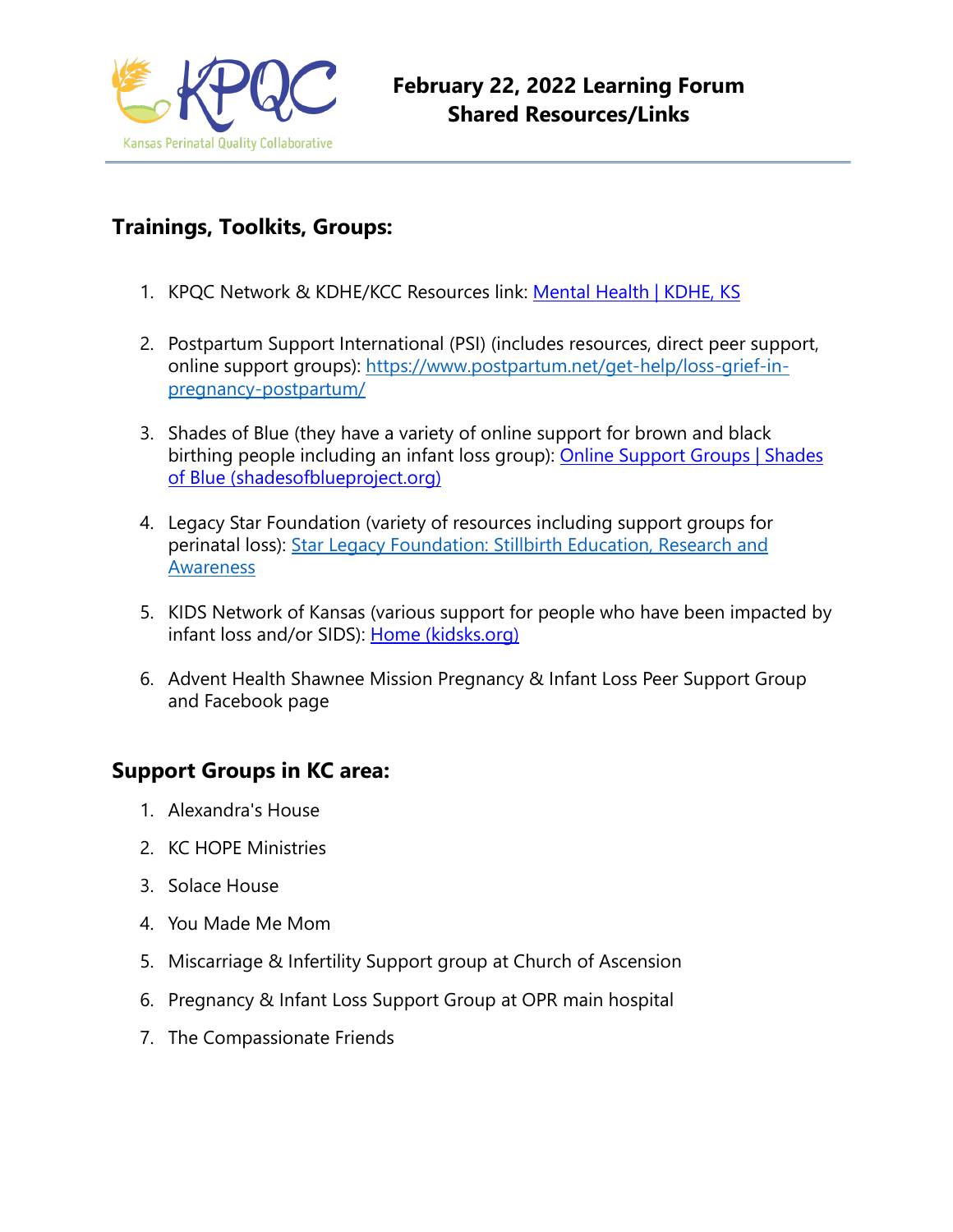

# **Trainings, Toolkits, Groups:**

- 1. KPQC Network & KDHE/KCC Resources link: [Mental Health | KDHE, KS](https://www.kdhe.ks.gov/520/Mental-Health)
- 2. Postpartum Support International (PSI) (includes resources, direct peer support, online support groups): [https://www.postpartum.net/get-help/loss-grief-in](https://www.postpartum.net/get-help/loss-grief-in-pregnancy-postpartum/)[pregnancy-postpartum/](https://www.postpartum.net/get-help/loss-grief-in-pregnancy-postpartum/)
- 3. Shades of Blue (they have a variety of online support for brown and black birthing people including an infant loss group): [Online Support Groups | Shades](https://www.shadesofblueproject.org/online-support-groups)  [of Blue \(shadesofblueproject.org\)](https://www.shadesofblueproject.org/online-support-groups)
- 4. Legacy Star Foundation (variety of resources including support groups for perinatal loss): Star Legacy Foundation: Stillbirth Education, Research and [Awareness](https://nam10.safelinks.protection.outlook.com/?url=https%3A%2F%2Fstarlegacyfoundation.org%2F&data=04%7C01%7Cpcarrillo12%40ku.edu%7Cb3eaa43220cb4019209308d9ddb8d44f%7C3c176536afe643f5b96636feabbe3c1a%7C0%7C0%7C637784609243011935%7CUnknown%7CTWFpbGZsb3d8eyJWIjoiMC4wLjAwMDAiLCJQIjoiV2luMzIiLCJBTiI6Ik1haWwiLCJXVCI6Mn0%3D%7C2000&sdata=C7Ip11bRGPQ%2BvzaSz0bfCExAYGlcTE9%2FAjIDgXXz%2BKI%3D&reserved=0)
- 5. KIDS Network of Kansas (various support for people who have been impacted by infant loss and/or SIDS): [Home \(kidsks.org\)](http://www.kidsks.org/)
- 6. Advent Health Shawnee Mission Pregnancy & Infant Loss Peer Support Group and Facebook page

# **Support Groups in KC area:**

- 1. Alexandra's House
- 2. KC HOPE Ministries
- 3. Solace House
- 4. You Made Me Mom
- 5. Miscarriage & Infertility Support group at Church of Ascension
- 6. Pregnancy & Infant Loss Support Group at OPR main hospital
- 7. The Compassionate Friends